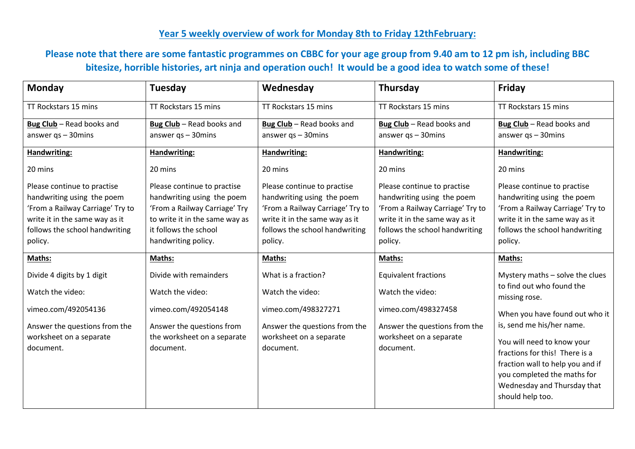## **Year 5 weekly overview of work for Monday 8th to Friday 12thFebruary:**

## **Please note that there are some fantastic programmes on CBBC for your age group from 9.40 am to 12 pm ish, including BBC bitesize, horrible histories, art ninja and operation ouch! It would be a good idea to watch some of these!**

| <b>Monday</b>                    | Tuesday                        | Wednesday                        | Thursday                         | Friday                           |
|----------------------------------|--------------------------------|----------------------------------|----------------------------------|----------------------------------|
| TT Rockstars 15 mins             | TT Rockstars 15 mins           | TT Rockstars 15 mins             | TT Rockstars 15 mins             | TT Rockstars 15 mins             |
| Bug Club - Read books and        | Bug Club - Read books and      | Bug Club - Read books and        | Bug Club - Read books and        | Bug Club - Read books and        |
| answer $qs - 30$ mins            | answer $qs - 30$ mins          | answer $qs - 30$ mins            | answer $qs - 30$ mins            | answer $qs - 30$ mins            |
| Handwriting:                     | Handwriting:                   | Handwriting:                     | Handwriting:                     | Handwriting:                     |
| 20 mins                          | 20 mins                        | 20 mins                          | 20 mins                          | 20 mins                          |
| Please continue to practise      | Please continue to practise    | Please continue to practise      | Please continue to practise      | Please continue to practise      |
| handwriting using the poem       | handwriting using the poem     | handwriting using the poem       | handwriting using the poem       | handwriting using the poem       |
| 'From a Railway Carriage' Try to | 'From a Railway Carriage' Try  | 'From a Railway Carriage' Try to | 'From a Railway Carriage' Try to | 'From a Railway Carriage' Try to |
| write it in the same way as it   | to write it in the same way as | write it in the same way as it   | write it in the same way as it   | write it in the same way as it   |
| follows the school handwriting   | it follows the school          | follows the school handwriting   | follows the school handwriting   | follows the school handwriting   |
| policy.                          | handwriting policy.            | policy.                          | policy.                          | policy.                          |
| Maths:                           | Maths:                         | Maths:                           | Maths:                           | Maths:                           |
| Divide 4 digits by 1 digit       | Divide with remainders         | What is a fraction?              | <b>Equivalent fractions</b>      | Mystery maths - solve the clues  |
| Watch the video:                 | Watch the video:               | Watch the video:                 | Watch the video:                 | to find out who found the        |
|                                  |                                |                                  |                                  | missing rose.                    |
| vimeo.com/492054136              | vimeo.com/492054148            | vimeo.com/498327271              | vimeo.com/498327458              | When you have found out who it   |
| Answer the questions from the    | Answer the questions from      | Answer the questions from the    | Answer the questions from the    | is, send me his/her name.        |
| worksheet on a separate          | the worksheet on a separate    | worksheet on a separate          | worksheet on a separate          | You will need to know your       |
| document.                        | document.                      | document.                        | document.                        | fractions for this! There is a   |
|                                  |                                |                                  |                                  | fraction wall to help you and if |
|                                  |                                |                                  |                                  | you completed the maths for      |
|                                  |                                |                                  |                                  | Wednesday and Thursday that      |
|                                  |                                |                                  |                                  | should help too.                 |
|                                  |                                |                                  |                                  |                                  |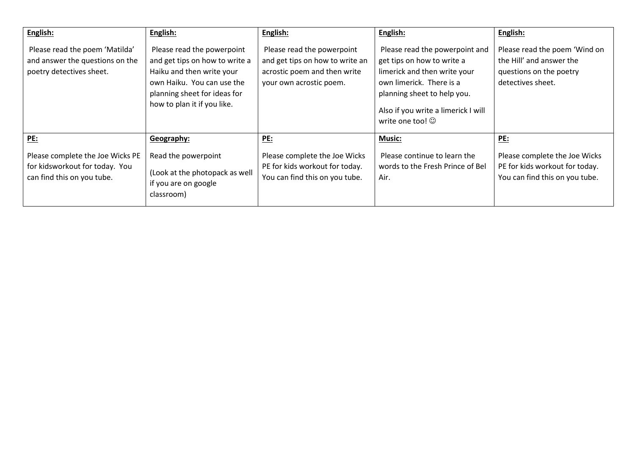| English:                                                                                                       | English:                                                                                                                                                                               | English:                                                                                                                 | English:                                                                                                                                                                                                                 | English:                                                                                                  |
|----------------------------------------------------------------------------------------------------------------|----------------------------------------------------------------------------------------------------------------------------------------------------------------------------------------|--------------------------------------------------------------------------------------------------------------------------|--------------------------------------------------------------------------------------------------------------------------------------------------------------------------------------------------------------------------|-----------------------------------------------------------------------------------------------------------|
| Please read the poem 'Matilda'<br>and answer the questions on the<br>poetry detectives sheet.                  | Please read the powerpoint<br>and get tips on how to write a<br>Haiku and then write your<br>own Haiku. You can use the<br>planning sheet for ideas for<br>how to plan it if you like. | Please read the powerpoint<br>and get tips on how to write an<br>acrostic poem and then write<br>your own acrostic poem. | Please read the powerpoint and<br>get tips on how to write a<br>limerick and then write your<br>own limerick. There is a<br>planning sheet to help you.<br>Also if you write a limerick I will<br>write one too! $\odot$ | Please read the poem 'Wind on<br>the Hill' and answer the<br>questions on the poetry<br>detectives sheet. |
| <b>PE:</b><br>Please complete the Joe Wicks PE<br>for kidsworkout for today. You<br>can find this on you tube. | Geography:<br>Read the powerpoint<br>(Look at the photopack as well<br>if you are on google                                                                                            | PE:<br>Please complete the Joe Wicks<br>PE for kids workout for today.<br>You can find this on you tube.                 | <b>Music:</b><br>Please continue to learn the<br>words to the Fresh Prince of Bel<br>Air.                                                                                                                                | PE:<br>Please complete the Joe Wicks<br>PE for kids workout for today.<br>You can find this on you tube.  |
|                                                                                                                | classroom)                                                                                                                                                                             |                                                                                                                          |                                                                                                                                                                                                                          |                                                                                                           |